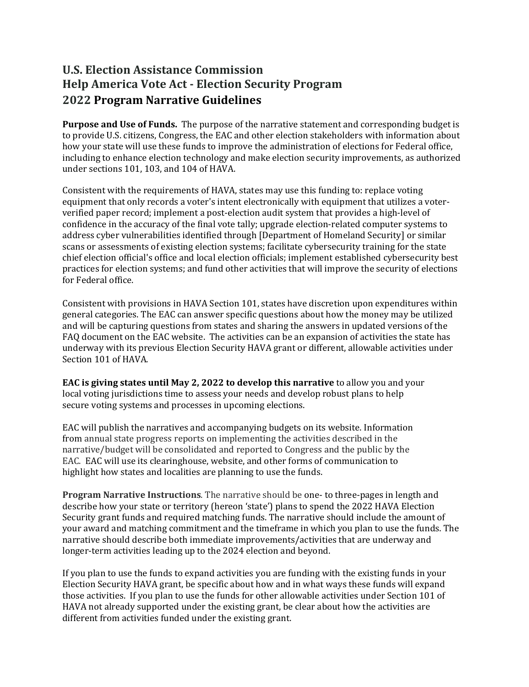## **U.S. Election Assistance Commission Help America Vote Act - Election Security Program 2022 Program Narrative Guidelines**

**Purpose and Use of Funds.** The purpose of the narrative statement and corresponding budget is to provide U.S. citizens, Congress, the EAC and other election stakeholders with information about how your state will use these funds to improve the administration of elections for Federal office, including to enhance election technology and make election security improvements, as authorized under sections 101, 103, and 104 of HAVA.

Consistent with the requirements of HAVA, states may use this funding to: replace voting equipment that only records a voter's intent electronically with equipment that utilizes a voterverified paper record; implement a post-election audit system that provides a high-level of confidence in the accuracy of the final vote tally; upgrade election-related computer systems to address cyber vulnerabilities identified through [Department of Homeland Security] or similar scans or assessments of existing election systems; facilitate cybersecurity training for the state chief election official's office and local election officials; implement established cybersecurity best practices for election systems; and fund other activities that will improve the security of elections for Federal office.

Consistent with provisions in HAVA Section 101, states have discretion upon expenditures within general categories. The EAC can answer specific questions about how the money may be utilized and will be capturing questions from states and sharing the answers in updated versions of the FAQ document on the EAC website. The activities can be an expansion of activities the state has underway with its previous Election Security HAVA grant or different, allowable activities under Section 101 of HAVA.

**EAC is giving states until May 2, 2022 to develop this narrative** to allow you and your local voting jurisdictions time to assess your needs and develop robust plans to help secure voting systems and processes in upcoming elections.

EAC will publish the narratives and accompanying budgets on its website. Information from annual state progress reports on implementing the activities described in the narrative/budget will be consolidated and reported to Congress and the public by the EAC. EAC will use its clearinghouse, website, and other forms of communication to highlight how states and localities are planning to use the funds.

**Program Narrative Instructions**. The narrative should be one- to three-pages in length and describe how your state or territory (hereon 'state') plans to spend the 2022 HAVA Election Security grant funds and required matching funds. The narrative should include the amount of your award and matching commitment and the timeframe in which you plan to use the funds. The narrative should describe both immediate improvements/activities that are underway and longer-term activities leading up to the 2024 election and beyond.

If you plan to use the funds to expand activities you are funding with the existing funds in your Election Security HAVA grant, be specific about how and in what ways these funds will expand those activities. If you plan to use the funds for other allowable activities under Section 101 of HAVA not already supported under the existing grant, be clear about how the activities are different from activities funded under the existing grant.